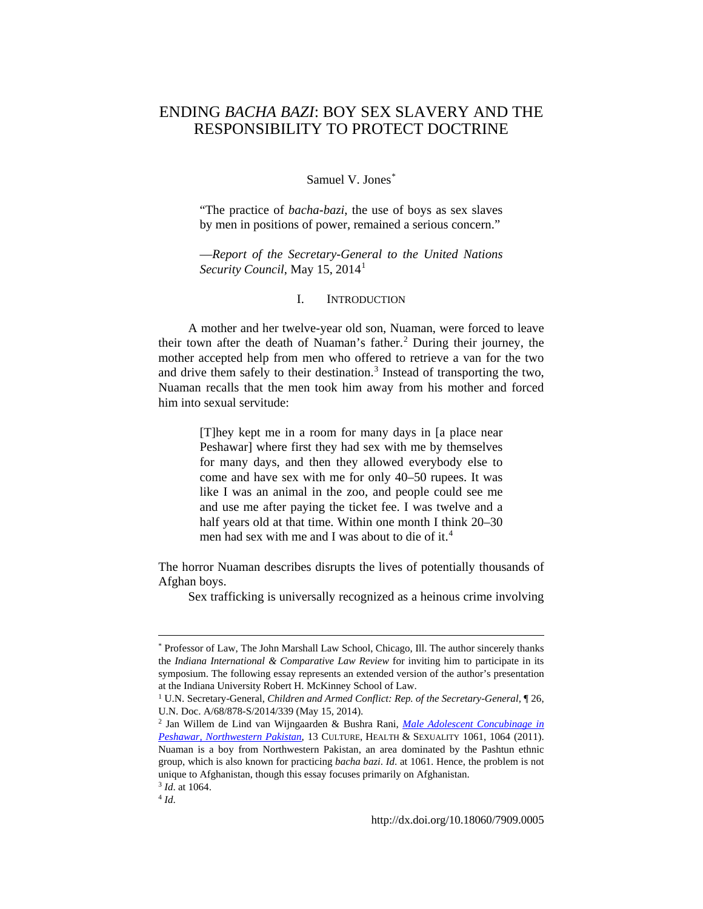# ENDING *BACHA BAZI*: BOY SEX SLAVERY AND THE RESPONSIBILITY TO PROTECT DOCTRINE

## Samuel V. Jones[\\*](#page-0-0)

"The practice of *bacha-bazi*, the use of boys as sex slaves by men in positions of power, remained a serious concern."

—*Report of the Secretary-General to the United Nations Security Council*, May [1](#page-0-1)5, 2014<sup>1</sup>

#### I. INTRODUCTION

A mother and her twelve-year old son, Nuaman, were forced to leave their town after the death of Nuaman's father.<sup>[2](#page-0-2)</sup> During their journey, the mother accepted help from men who offered to retrieve a van for the two and drive them safely to their destination.<sup>[3](#page-0-3)</sup> Instead of transporting the two, Nuaman recalls that the men took him away from his mother and forced him into sexual servitude:

> [T]hey kept me in a room for many days in [a place near Peshawar] where first they had sex with me by themselves for many days, and then they allowed everybody else to come and have sex with me for only 40–50 rupees. It was like I was an animal in the zoo, and people could see me and use me after paying the ticket fee. I was twelve and a half years old at that time. Within one month I think 20–30 men had sex with me and I was about to die of it.<sup>[4](#page-0-4)</sup>

The horror Nuaman describes disrupts the lives of potentially thousands of Afghan boys.

Sex trafficking is universally recognized as a heinous crime involving

<span id="page-0-0"></span><sup>\*</sup> Professor of Law, The John Marshall Law School, Chicago, Ill. The author sincerely thanks the *Indiana International & Comparative Law Review* for inviting him to participate in its symposium. The following essay represents an extended version of the author's presentation at the Indiana University Robert H. McKinney School of Law.

<span id="page-0-1"></span><sup>&</sup>lt;sup>1</sup> U.N. Secretary-General, *Children and Armed Conflict: Rep. of the Secretary-General*,  $\P$  26, U.N. Doc. A/68/878-S/2014/339 (May 15, 2014).

<span id="page-0-2"></span><sup>2</sup> Jan Willem de Lind van Wijngaarden & Bushra Rani, *[Male Adolescent Concubinage in](http://dx.doi.org/10.1080/13691058.2011.599863)  [Peshawar, Northwestern Pakistan](http://dx.doi.org/10.1080/13691058.2011.599863)*, 13 CULTURE, HEALTH & SEXUALITY 1061, 1064 (2011). Nuaman is a boy from Northwestern Pakistan, an area dominated by the Pashtun ethnic group, which is also known for practicing *bacha bazi*. *Id*. at 1061. Hence, the problem is not unique to Afghanistan, though this essay focuses primarily on Afghanistan. <sup>3</sup> *Id*. at 1064.

<span id="page-0-4"></span><span id="page-0-3"></span><sup>4</sup> *Id*.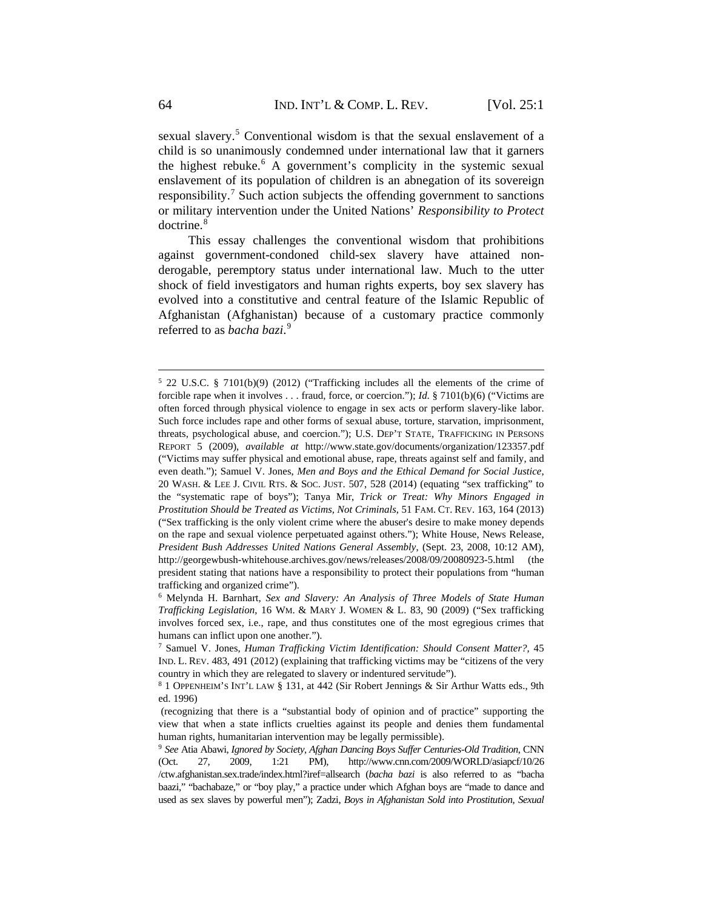sexual slavery.[5](#page-1-0) Conventional wisdom is that the sexual enslavement of a child is so unanimously condemned under international law that it garners the highest rebuke. $6$  A government's complicity in the systemic sexual enslavement of its population of children is an abnegation of its sovereign responsibility.<sup>[7](#page-1-2)</sup> Such action subjects the offending government to sanctions or military intervention under the United Nations' *Responsibility to Protect* doctrine.<sup>[8](#page-1-3)</sup>

This essay challenges the conventional wisdom that prohibitions against government-condoned child-sex slavery have attained nonderogable, peremptory status under international law. Much to the utter shock of field investigators and human rights experts, boy sex slavery has evolved into a constitutive and central feature of the Islamic Republic of Afghanistan (Afghanistan) because of a customary practice commonly referred to as *bacha bazi*. [9](#page-1-4)

<span id="page-1-0"></span><sup>5</sup> 22 U.S.C. § 7101(b)(9) (2012) ("Trafficking includes all the elements of the crime of forcible rape when it involves . . . fraud, force, or coercion."); *Id*. § 7101(b)(6) ("Victims are often forced through physical violence to engage in sex acts or perform slavery-like labor. Such force includes rape and other forms of sexual abuse, torture, starvation, imprisonment, threats, psychological abuse, and coercion."); U.S. DEP'T STATE*,* TRAFFICKING IN PERSONS REPORT 5 (2009), *available at* http://www.state.gov/documents/organization/123357.pdf ("Victims may suffer physical and emotional abuse, rape, threats against self and family, and even death."); Samuel V. Jones, *Men and Boys and the Ethical Demand for Social Justice*, 20 WASH. & LEE J. CIVIL RTS. & SOC. JUST. 507, 528 (2014) (equating "sex trafficking" to the "systematic rape of boys"); Tanya Mir, *Trick or Treat: Why Minors Engaged in Prostitution Should be Treated as Victims, Not Criminals*, 51 FAM. CT. REV. 163, 164 (2013) ("Sex trafficking is the only violent crime where the abuser's desire to make money depends on the rape and sexual violence perpetuated against others."); White House, News Release, *President Bush Addresses United Nations General Assembly*, (Sept. 23, 2008, 10:12 AM), http://georgewbush-whitehouse.archives.gov/news/releases/2008/09/20080923-5.html (the president stating that nations have a responsibility to protect their populations from "human trafficking and organized crime").

<span id="page-1-1"></span><sup>6</sup> Melynda H. Barnhart*, Sex and Slavery: An Analysis of Three Models of State Human Trafficking Legislation*, 16 WM. & MARY J. WOMEN & L. 83, 90 (2009) ("Sex trafficking involves forced sex, i.e., rape, and thus constitutes one of the most egregious crimes that humans can inflict upon one another.").

<span id="page-1-2"></span><sup>7</sup> Samuel V. Jones, *Human Trafficking Victim Identification: Should Consent Matter?*, 45 IND. L. REV. 483, 491 (2012) (explaining that trafficking victims may be "citizens of the very country in which they are relegated to slavery or indentured servitude").

<span id="page-1-3"></span><sup>8</sup> 1 OPPENHEIM'S INT'L LAW § 131, at 442 (Sir Robert Jennings & Sir Arthur Watts eds., 9th ed. 1996)

<sup>(</sup>recognizing that there is a "substantial body of opinion and of practice" supporting the view that when a state inflicts cruelties against its people and denies them fundamental human rights, humanitarian intervention may be legally permissible).

<span id="page-1-4"></span><sup>9</sup> *See* Atia Abawi, *Ignored by Society, Afghan Dancing Boys Suffer Centuries-Old Tradition*, CNN (Oct. 27, 2009, 1:21 PM), http://www.cnn.com/2009/WORLD/asiapcf/10/26 /ctw.afghanistan.sex.trade/index.html?iref=allsearch (*bacha bazi* is also referred to as "bacha baazi," "bachabaze," or "boy play," a practice under which Afghan boys are "made to dance and used as sex slaves by powerful men"); Zadzi, *Boys in Afghanistan Sold into Prostitution, Sexual*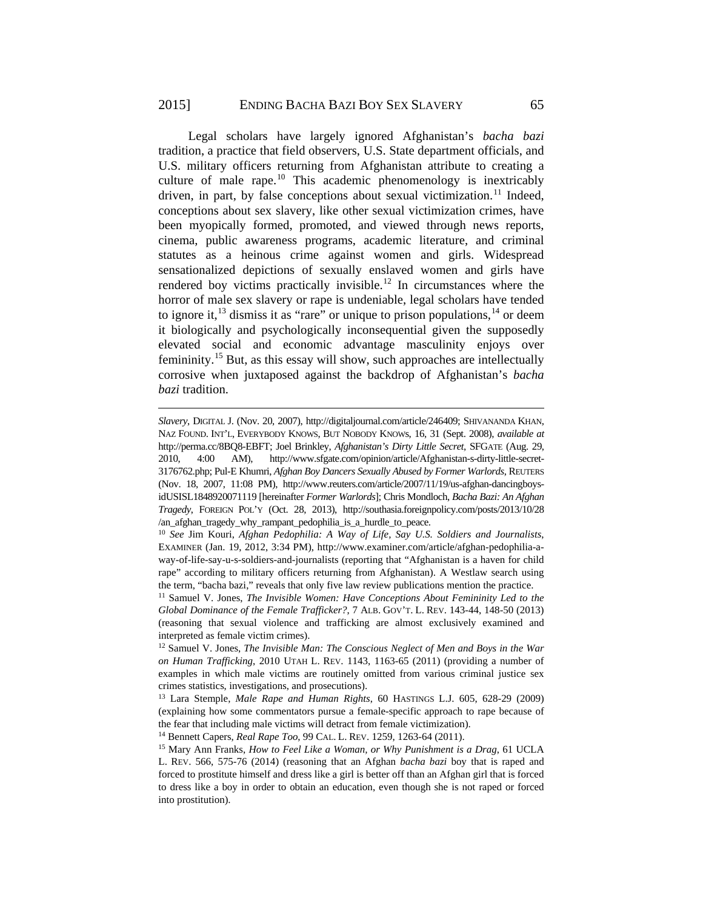Legal scholars have largely ignored Afghanistan's *bacha bazi*  tradition, a practice that field observers, U.S. State department officials, and U.S. military officers returning from Afghanistan attribute to creating a culture of male rape.<sup>[10](#page-2-0)</sup> This academic phenomenology is inextricably driven, in part, by false conceptions about sexual victimization.<sup>[11](#page-2-1)</sup> Indeed, conceptions about sex slavery, like other sexual victimization crimes, have been myopically formed, promoted, and viewed through news reports, cinema, public awareness programs, academic literature, and criminal statutes as a heinous crime against women and girls. Widespread sensationalized depictions of sexually enslaved women and girls have rendered boy victims practically invisible.<sup>[12](#page-2-2)</sup> In circumstances where the horror of male sex slavery or rape is undeniable, legal scholars have tended to ignore it,  $^{13}$  $^{13}$  $^{13}$  dismiss it as "rare" or unique to prison populations,  $^{14}$  $^{14}$  $^{14}$  or deem it biologically and psychologically inconsequential given the supposedly elevated social and economic advantage masculinity enjoys over femininity.[15](#page-2-5) But, as this essay will show, such approaches are intellectually corrosive when juxtaposed against the backdrop of Afghanistan's *bacha bazi* tradition.

 $\overline{a}$ 

<sup>14</sup> Bennett Capers, *Real Rape Too*, 99 CAL. L. REV. 1259, 1263-64 (2011).

*Slavery*, DIGITAL J. (Nov. 20, 2007), http://digitaljournal.com/article/246409; SHIVANANDA KHAN, NAZ FOUND. INT'L, EVERYBODY KNOWS, BUT NOBODY KNOWs, 16, 31 (Sept. 2008), *available at* http://perma.cc/8BQ8-EBFT; Joel Brinkley, *Afghanistan's Dirty Little Secret*, SFGATE (Aug. 29, 2010, 4:00 AM), http://www.sfgate.com/opinion/article/Afghanistan-s-dirty-little-secret-3176762.php; Pul-E Khumri, *Afghan Boy Dancers Sexually Abused by Former Warlords*, REUTERS (Nov. 18, 2007, 11:08 PM), http://www.reuters.com/article/2007/11/19/us-afghan-dancingboysidUSISL1848920071119 [hereinafter *Former Warlords*]; Chris Mondloch, *Bacha Bazi: An Afghan Tragedy*, FOREIGN POL'Y (Oct. 28, 2013), http://southasia.foreignpolicy.com/posts/2013/10/28 /an\_afghan\_tragedy\_why\_rampant\_pedophilia\_is\_a\_hurdle\_to\_peace.

<span id="page-2-0"></span><sup>10</sup> *See* Jim Kouri, *Afghan Pedophilia: A Way of Life, Say U.S. Soldiers and Journalists*, EXAMINER (Jan. 19, 2012, 3:34 PM), http://www.examiner.com/article/afghan-pedophilia-away-of-life-say-u-s-soldiers-and-journalists (reporting that "Afghanistan is a haven for child rape" according to military officers returning from Afghanistan). A Westlaw search using the term, "bacha bazi," reveals that only five law review publications mention the practice.

<span id="page-2-1"></span><sup>11</sup> Samuel V. Jones, *The Invisible Women: Have Conceptions About Femininity Led to the Global Dominance of the Female Trafficker?*, 7 ALB. GOV'T. L. REV. 143-44, 148-50 (2013) (reasoning that sexual violence and trafficking are almost exclusively examined and interpreted as female victim crimes).

<span id="page-2-2"></span><sup>12</sup> Samuel V. Jones, *The Invisible Man: The Conscious Neglect of Men and Boys in the War on Human Trafficking*, 2010 UTAH L. REV. 1143, 1163-65 (2011) (providing a number of examples in which male victims are routinely omitted from various criminal justice sex crimes statistics, investigations, and prosecutions).

<span id="page-2-3"></span><sup>13</sup> Lara Stemple, *Male Rape and Human Rights*, 60 HASTINGS L.J. 605, 628-29 (2009) (explaining how some commentators pursue a female-specific approach to rape because of the fear that including male victims will detract from female victimization).

<span id="page-2-5"></span><span id="page-2-4"></span><sup>15</sup> Mary Ann Franks, *How to Feel Like a Woman, or Why Punishment is a Drag*, 61 UCLA L. REV. 566, 575-76 (2014) (reasoning that an Afghan *bacha bazi* boy that is raped and forced to prostitute himself and dress like a girl is better off than an Afghan girl that is forced to dress like a boy in order to obtain an education, even though she is not raped or forced into prostitution).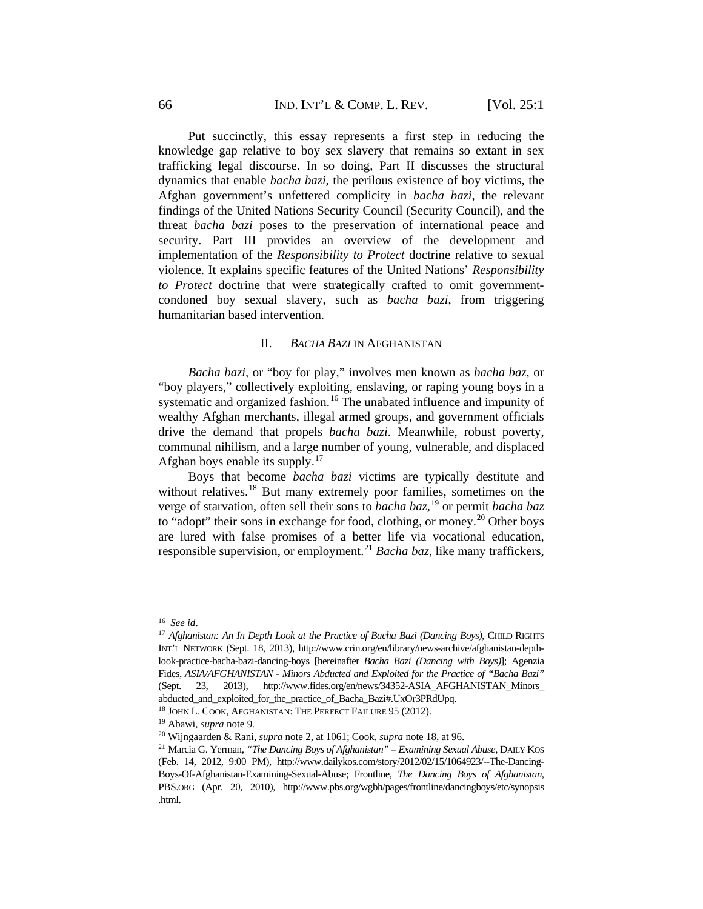Put succinctly, this essay represents a first step in reducing the knowledge gap relative to boy sex slavery that remains so extant in sex trafficking legal discourse. In so doing, Part II discusses the structural dynamics that enable *bacha bazi*, the perilous existence of boy victims, the Afghan government's unfettered complicity in *bacha bazi*, the relevant findings of the United Nations Security Council (Security Council), and the threat *bacha bazi* poses to the preservation of international peace and security. Part III provides an overview of the development and implementation of the *Responsibility to Protect* doctrine relative to sexual violence. It explains specific features of the United Nations' *Responsibility to Protect* doctrine that were strategically crafted to omit governmentcondoned boy sexual slavery, such as *bacha bazi*, from triggering humanitarian based intervention.

#### II. *BACHA BAZI* IN AFGHANISTAN

*Bacha bazi,* or "boy for play," involves men known as *bacha baz,* or "boy players," collectively exploiting, enslaving, or raping young boys in a systematic and organized fashion.<sup>[16](#page-3-0)</sup> The unabated influence and impunity of wealthy Afghan merchants, illegal armed groups, and government officials drive the demand that propels *bacha bazi*. Meanwhile, robust poverty, communal nihilism, and a large number of young, vulnerable, and displaced Afghan boys enable its supply. $17$ 

Boys that become *bacha bazi* victims are typically destitute and without relatives.<sup>[18](#page-3-2)</sup> But many extremely poor families, sometimes on the verge of starvation, often sell their sons to *bacha baz,*[19](#page-3-3) or permit *bacha baz*  to "adopt" their sons in exchange for food, clothing, or money.<sup>[20](#page-3-4)</sup> Other boys are lured with false promises of a better life via vocational education, responsible supervision, or employment.[21](#page-3-5) *Bacha baz*, like many traffickers,

<sup>16</sup> *See id*.

<span id="page-3-1"></span><span id="page-3-0"></span><sup>17</sup> *Afghanistan: An In Depth Look at the Practice of Bacha Bazi (Dancing Boys)*, CHILD RIGHTS INT'L NETWORK (Sept. 18, 2013), http://www.crin.org/en/library/news-archive/afghanistan-depthlook-practice-bacha-bazi-dancing-boys [hereinafter *Bacha Bazi (Dancing with Boys)*]; Agenzia Fides, *ASIA/AFGHANISTAN - Minors Abducted and Exploited for the Practice of "Bacha Bazi"* (Sept. 23, 2013), http://www.fides.org/en/news/34352-ASIA\_AFGHANISTAN\_Minors\_ abducted\_and\_exploited\_for\_the\_practice\_of\_Bacha\_Bazi#.UxOr3PRdUpq.

<sup>&</sup>lt;sup>18</sup> JOHN L. COOK, AFGHANISTAN: THE PERFECT FAILURE 95 (2012).

<span id="page-3-3"></span><span id="page-3-2"></span><sup>19</sup> Abawi, *supra* note 9*.*

<span id="page-3-4"></span><sup>20</sup> Wijngaarden & Rani, *supra* note 2, at 1061; Cook, *supra* note 18, at 96.

<span id="page-3-5"></span><sup>21</sup> Marcia G. Yerman, *"The Dancing Boys of Afghanistan" – Examining Sexual Abuse*, DAILY KOS (Feb. 14, 2012, 9:00 PM), http://www.dailykos.com/story/2012/02/15/1064923/--The-Dancing-Boys-Of-Afghanistan-Examining-Sexual-Abuse; Frontline, *The Dancing Boys of Afghanistan*, PBS.ORG (Apr. 20, 2010), http://www.pbs.org/wgbh/pages/frontline/dancingboys/etc/synopsis .html.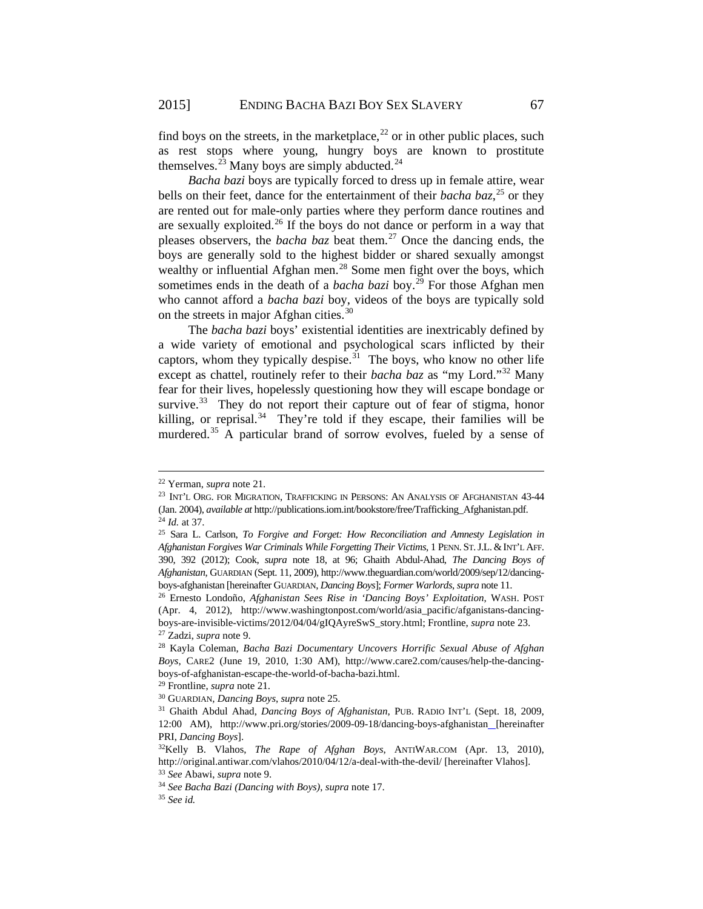find boys on the streets, in the marketplace, $2<sup>22</sup>$  $2<sup>22</sup>$  $2<sup>22</sup>$  or in other public places, such as rest stops where young, hungry boys are known to prostitute themselves. $^{23}$  $^{23}$  $^{23}$  Many boys are simply abducted.<sup>[24](#page-4-2)</sup>

*Bacha bazi* boys are typically forced to dress up in female attire, wear bells on their feet, dance for the entertainment of their *bacha baz*, [25](#page-4-3) or they are rented out for male-only parties where they perform dance routines and are sexually exploited.[26](#page-4-4) If the boys do not dance or perform in a way that pleases observers, the *bacha baz* beat them.[27](#page-4-5) Once the dancing ends, the boys are generally sold to the highest bidder or shared sexually amongst wealthy or influential Afghan men.<sup>[28](#page-4-6)</sup> Some men fight over the boys, which sometimes ends in the death of a *bacha bazi* boy.<sup>[29](#page-4-7)</sup> For those Afghan men who cannot afford a *bacha bazi* boy, videos of the boys are typically sold on the streets in major Afghan cities.<sup>[30](#page-4-8)</sup>

The *bacha bazi* boys' existential identities are inextricably defined by a wide variety of emotional and psychological scars inflicted by their captors, whom they typically despise.<sup>[31](#page-4-9)</sup> The boys, who know no other life except as chattel, routinely refer to their *bacha baz* as "my Lord."<sup>[32](#page-4-10)</sup> Many fear for their lives, hopelessly questioning how they will escape bondage or survive.<sup>33</sup> They do not report their capture out of fear of stigma, honor killing, or reprisal.<sup>34</sup> They're told if they escape, their families will be murdered.<sup>[35](#page-4-13)</sup> A particular brand of sorrow evolves, fueled by a sense of

<span id="page-4-0"></span><sup>22</sup> Yerman, *supra* note 21.

<span id="page-4-1"></span><sup>&</sup>lt;sup>23</sup> INT'L ORG. FOR MIGRATION, TRAFFICKING IN PERSONS: AN ANALYSIS OF AFGHANISTAN 43-44 (Jan. 2004), *available at* http://publications.iom.int/bookstore/free/Trafficking\_Afghanistan.pdf. <sup>24</sup> *Id.* at 37.

<span id="page-4-3"></span><span id="page-4-2"></span><sup>25</sup> Sara L. Carlson, *To Forgive and Forget: How Reconciliation and Amnesty Legislation in Afghanistan Forgives War Criminals While Forgetting Their Victims*, 1 PENN. ST.J.L. &INT'L AFF. 390, 392 (2012); Cook, *supra* note 18, at 96; Ghaith Abdul-Ahad, *The Dancing Boys of Afghanistan*, GUARDIAN (Sept. 11, 2009), http://www.theguardian.com/world/2009/sep/12/dancingboys-afghanistan [hereinafter GUARDIAN, *Dancing Boys*]; *Former Warlords*, *supra* note 11.

<span id="page-4-4"></span><sup>26</sup> Ernesto Londoño, *Afghanistan Sees Rise in 'Dancing Boys' Exploitation*, WASH. POST (Apr. 4, 2012), http://www.washingtonpost.com/world/asia\_pacific/afganistans-dancingboys-are-invisible-victims/2012/04/04/gIQAyreSwS\_story.html; Frontline, *supra* note 23. <sup>27</sup> Zadzi, *supra* note 9.

<span id="page-4-6"></span><span id="page-4-5"></span><sup>28</sup> Kayla Coleman, *Bacha Bazi Documentary Uncovers Horrific Sexual Abuse of Afghan Boys*, CARE2 (June 19, 2010, 1:30 AM), http://www.care2.com/causes/help-the-dancingboys-of-afghanistan-escape-the-world-of-bacha-bazi.html.

<span id="page-4-7"></span><sup>29</sup> Frontline, *supra* note 21.

<span id="page-4-9"></span><span id="page-4-8"></span><sup>30</sup> GUARDIAN, *Dancing Boys*, *supra* note 25. 31 Ghaith Abdul Ahad, *Dancing Boys of Afghanistan*, PUB. RADIO INT'L (Sept. 18, 2009, 12:00 AM), http://www.pri.org/stories/2009-09-18/dancing-boys-afghanistan [hereinafter PRI, *Dancing Boys*]. 32Kelly B. Vlahos, *The Rape of Afghan Boys*, ANTIWAR.COM (Apr. 13, 2010),

<span id="page-4-10"></span>http://original.antiwar.com/vlahos/2010/04/12/a-deal-with-the-devil/ [hereinafter Vlahos]. 33 *See* Abawi, *supra* note 9.

<span id="page-4-12"></span><span id="page-4-11"></span><sup>34</sup> *See Bacha Bazi (Dancing with Boys)*, *supra* note 17.

<span id="page-4-13"></span><sup>35</sup> *See id.*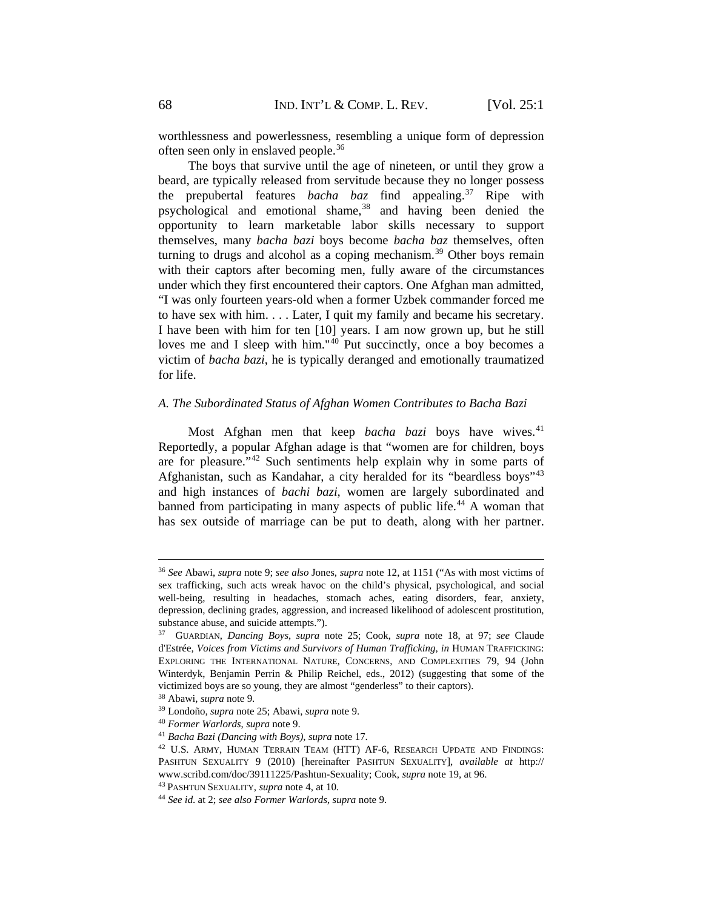worthlessness and powerlessness, resembling a unique form of depression often seen only in enslaved people.[36](#page-5-0)

The boys that survive until the age of nineteen, or until they grow a beard, are typically released from servitude because they no longer possess the prepubertal features *bacha baz* find appealing.[37](#page-5-1) Ripe with psychological and emotional shame,<sup>[38](#page-5-2)</sup> and having been denied the opportunity to learn marketable labor skills necessary to support themselves, many *bacha bazi* boys become *bacha baz* themselves, often turning to drugs and alcohol as a coping mechanism.<sup>[39](#page-5-3)</sup> Other boys remain with their captors after becoming men, fully aware of the circumstances under which they first encountered their captors. One Afghan man admitted, "I was only fourteen years-old when a former Uzbek commander forced me to have sex with him. . . . Later, I quit my family and became his secretary. I have been with him for ten [10] years. I am now grown up, but he still loves me and I sleep with him."[40](#page-5-4) Put succinctly, once a boy becomes a victim of *bacha bazi*, he is typically deranged and emotionally traumatized for life.

### *A. The Subordinated Status of Afghan Women Contributes to Bacha Bazi*

Most Afghan men that keep *bacha bazi* boys have wives.<sup>[41](#page-5-5)</sup> Reportedly, a popular Afghan adage is that "women are for children, boys are for pleasure."[42](#page-5-6) Such sentiments help explain why in some parts of Afghanistan, such as Kandahar, a city heralded for its "beardless boys"[43](#page-5-7) and high instances of *bachi bazi*, women are largely subordinated and banned from participating in many aspects of public life.<sup>[44](#page-5-8)</sup> A woman that has sex outside of marriage can be put to death, along with her partner.

<span id="page-5-0"></span><sup>36</sup> *See* Abawi, *supra* note 9; *see also* Jones, *supra* note 12, at 1151 ("As with most victims of sex trafficking, such acts wreak havoc on the child's physical, psychological, and social well-being, resulting in headaches, stomach aches, eating disorders, fear, anxiety, depression, declining grades, aggression, and increased likelihood of adolescent prostitution, substance abuse, and suicide attempts.").

<span id="page-5-1"></span><sup>37</sup> GUARDIAN, *Dancing Boys*, *supra* note 25; Cook, *supra* note 18, at 97; *see* Claude d'Estrée, *Voices from Victims and Survivors of Human Trafficking*, *in* HUMAN TRAFFICKING: EXPLORING THE INTERNATIONAL NATURE, CONCERNS, AND COMPLEXITIES 79, 94 (John Winterdyk, Benjamin Perrin & Philip Reichel, eds., 2012) (suggesting that some of the victimized boys are so young, they are almost "genderless" to their captors).

<sup>38</sup> Abawi, *supra* note 9.

<span id="page-5-3"></span><span id="page-5-2"></span><sup>39</sup> Londoño, *supra* note 25; Abawi, *supra* note 9.

<span id="page-5-4"></span><sup>40</sup> *Former Warlords*, *supra* note 9.

<span id="page-5-5"></span><sup>41</sup> *Bacha Bazi (Dancing with Boys)*, *supra* note 17.

<span id="page-5-6"></span><sup>42</sup> U.S. ARMY, HUMAN TERRAIN TEAM (HTT) AF-6, RESEARCH UPDATE AND FINDINGS: PASHTUN SEXUALITY 9 (2010) [hereinafter PASHTUN SEXUALITY], *available at* http:// www.scribd.com/doc/39111225/Pashtun-Sexuality; Cook, *supra* note 19, at 96.

<span id="page-5-7"></span><sup>43</sup> PASHTUN SEXUALITY, *supra* note 4, at 10.

<span id="page-5-8"></span><sup>44</sup> *See id*. at 2; *see also Former Warlords*, *supra* note 9.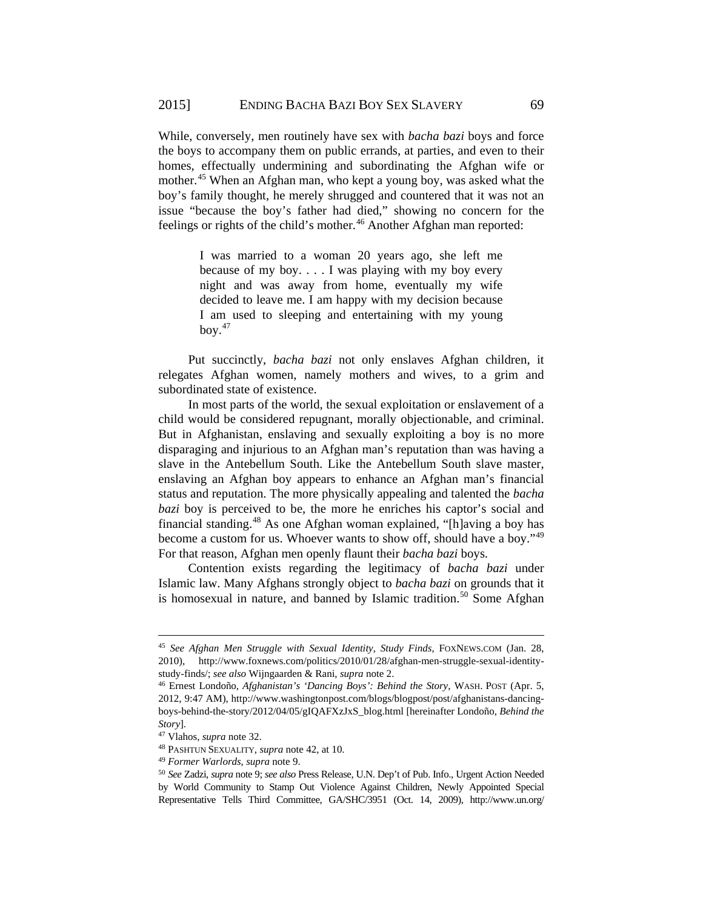While, conversely, men routinely have sex with *bacha bazi* boys and force the boys to accompany them on public errands, at parties, and even to their homes, effectually undermining and subordinating the Afghan wife or mother.<sup>[45](#page-6-0)</sup> When an Afghan man, who kept a young boy, was asked what the boy's family thought, he merely shrugged and countered that it was not an issue "because the boy's father had died," showing no concern for the feelings or rights of the child's mother.<sup>[46](#page-6-1)</sup> Another Afghan man reported:

> I was married to a woman 20 years ago, she left me because of my boy. . . . I was playing with my boy every night and was away from home, eventually my wife decided to leave me. I am happy with my decision because I am used to sleeping and entertaining with my young bov. $47$

Put succinctly, *bacha bazi* not only enslaves Afghan children, it relegates Afghan women, namely mothers and wives, to a grim and subordinated state of existence.

In most parts of the world, the sexual exploitation or enslavement of a child would be considered repugnant, morally objectionable, and criminal. But in Afghanistan, enslaving and sexually exploiting a boy is no more disparaging and injurious to an Afghan man's reputation than was having a slave in the Antebellum South. Like the Antebellum South slave master, enslaving an Afghan boy appears to enhance an Afghan man's financial status and reputation. The more physically appealing and talented the *bacha bazi* boy is perceived to be, the more he enriches his captor's social and financial standing.[48](#page-6-3) As one Afghan woman explained, "[h]aving a boy has become a custom for us. Whoever wants to show off, should have a boy."<sup>[49](#page-6-4)</sup> For that reason, Afghan men openly flaunt their *bacha bazi* boys.

Contention exists regarding the legitimacy of *bacha bazi* under Islamic law. Many Afghans strongly object to *bacha bazi* on grounds that it is homosexual in nature, and banned by Islamic tradition.<sup>[50](#page-6-5)</sup> Some Afghan

<span id="page-6-0"></span><sup>45</sup> *See Afghan Men Struggle with Sexual Identity, Study Finds*, FOXNEWS.COM (Jan. 28, 2010), http://www.foxnews.com/politics/2010/01/28/afghan-men-struggle-sexual-identitystudy-finds/; *see also* Wijngaarden & Rani, *supra* note 2.

<span id="page-6-1"></span><sup>46</sup> Ernest Londoño, *Afghanistan's 'Dancing Boys': Behind the Story*, WASH. POST (Apr. 5, 2012, 9:47 AM), http://www.washingtonpost.com/blogs/blogpost/post/afghanistans-dancingboys-behind-the-story/2012/04/05/gIQAFXzJxS\_blog.html [hereinafter Londoño, *Behind the Story*].

<span id="page-6-2"></span><sup>47</sup> Vlahos, *supra* note 32.

<span id="page-6-3"></span><sup>48</sup> PASHTUN SEXUALITY, *supra* note 42, at 10.

<span id="page-6-4"></span><sup>49</sup> *Former Warlords*, *supra* note 9.

<span id="page-6-5"></span><sup>50</sup> *See* Zadzi, *supra* note 9; *see also* Press Release, U.N. Dep't of Pub. Info., Urgent Action Needed by World Community to Stamp Out Violence Against Children, Newly Appointed Special Representative Tells Third Committee, GA/SHC/3951 (Oct. 14, 2009), http://www.un.org/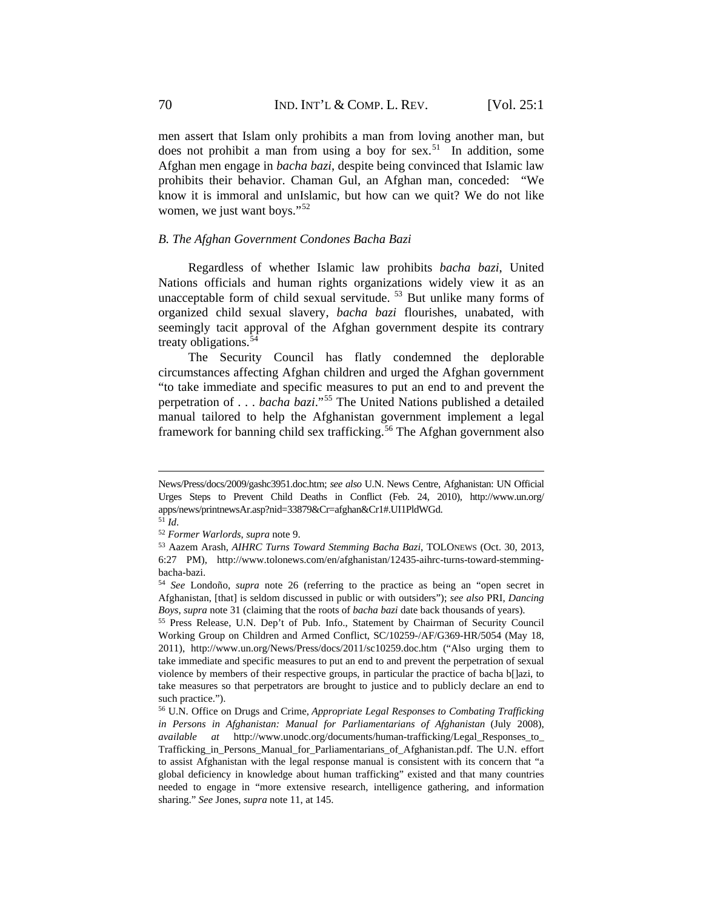men assert that Islam only prohibits a man from loving another man, but does not prohibit a man from using a boy for sex.<sup>51</sup> In addition, some Afghan men engage in *bacha bazi*, despite being convinced that Islamic law prohibits their behavior. Chaman Gul, an Afghan man, conceded: "We know it is immoral and unIslamic, but how can we quit? We do not like women, we just want boys."<sup>[52](#page-7-1)</sup>

### *B. The Afghan Government Condones Bacha Bazi*

Regardless of whether Islamic law prohibits *bacha bazi*, United Nations officials and human rights organizations widely view it as an unacceptable form of child sexual servitude. <sup>[53](#page-7-2)</sup> But unlike many forms of organized child sexual slavery, *bacha bazi* flourishes, unabated, with seemingly tacit approval of the Afghan government despite its contrary treaty obligations. $54$ 

The Security Council has flatly condemned the deplorable circumstances affecting Afghan children and urged the Afghan government "to take immediate and specific measures to put an end to and prevent the perpetration of . . . *bacha bazi*."[55](#page-7-4) The United Nations published a detailed manual tailored to help the Afghanistan government implement a legal framework for banning child sex trafficking.<sup>[56](#page-7-5)</sup> The Afghan government also

News/Press/docs/2009/gashc3951.doc.htm; *see also* U.N. News Centre, Afghanistan: UN Official Urges Steps to Prevent Child Deaths in Conflict (Feb. 24, 2010), http://www.un.org/ apps/news/printnewsAr.asp?nid=33879&Cr=afghan&Cr1#.UI1PldWGd.

<span id="page-7-0"></span> $^{51}$  *Id.* 

<span id="page-7-1"></span><sup>52</sup> *Former Warlords*, *supra* note 9.

<span id="page-7-2"></span><sup>53</sup> Aazem Arash, *AIHRC Turns Toward Stemming Bacha Bazi*, TOLONEWS (Oct. 30, 2013, 6:27 PM), http://www.tolonews.com/en/afghanistan/12435-aihrc-turns-toward-stemmingbacha-bazi.

<span id="page-7-3"></span><sup>54</sup> *See* Londoño, *supra* note 26 (referring to the practice as being an "open secret in Afghanistan, [that] is seldom discussed in public or with outsiders"); *see also* PRI, *Dancing Boys*, *supra* note 31 (claiming that the roots of *bacha bazi* date back thousands of years).

<span id="page-7-4"></span><sup>55</sup> Press Release, U.N. Dep't of Pub. Info., Statement by Chairman of Security Council Working Group on Children and Armed Conflict, SC/10259-/AF/G369-HR/5054 (May 18, 2011), http://www.un.org/News/Press/docs/2011/sc10259.doc.htm ("Also urging them to take immediate and specific measures to put an end to and prevent the perpetration of sexual violence by members of their respective groups, in particular the practice of bacha b[]azi, to take measures so that perpetrators are brought to justice and to publicly declare an end to such practice.").

<span id="page-7-5"></span><sup>56</sup> U.N. Office on Drugs and Crime, *Appropriate Legal Responses to Combating Trafficking in Persons in Afghanistan: Manual for Parliamentarians of Afghanistan* (July 2008), *available at* http://www.unodc.org/documents/human-trafficking/Legal\_Responses\_to\_ Trafficking\_in\_Persons\_Manual\_for\_Parliamentarians\_of\_Afghanistan.pdf. The U.N. effort to assist Afghanistan with the legal response manual is consistent with its concern that "a global deficiency in knowledge about human trafficking" existed and that many countries needed to engage in "more extensive research, intelligence gathering, and information sharing." *See* Jones, *supra* note 11, at 145.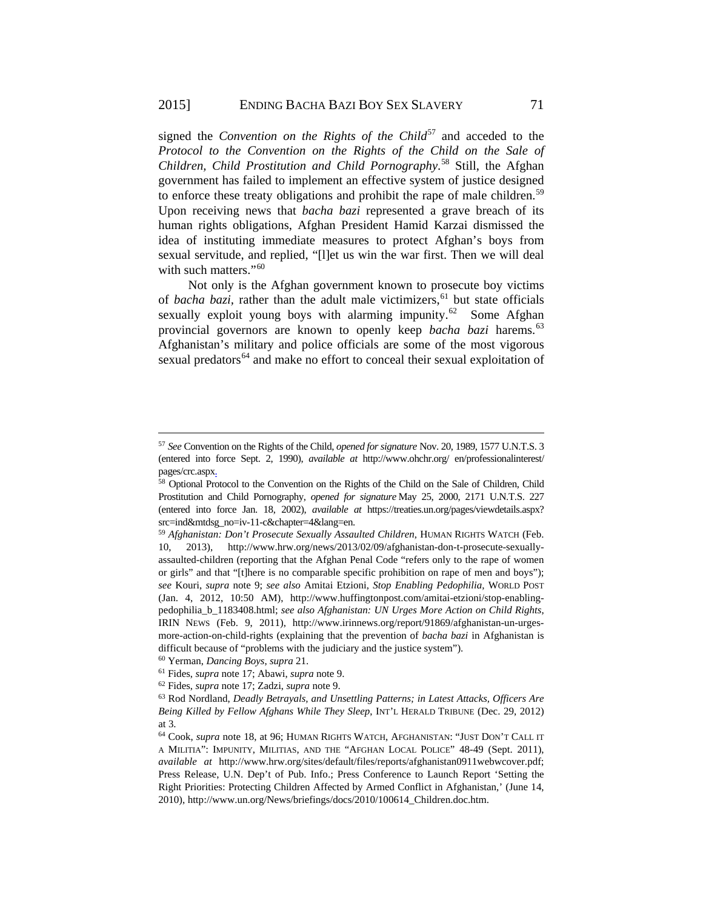signed the *Convention on the Rights of the Child*<sup>[57](#page-8-0)</sup> and acceded to the *Protocol to the Convention on the Rights of the Child on the Sale of Children, Child Prostitution and Child Pornography*. [58](#page-8-1) Still, the Afghan government has failed to implement an effective system of justice designed to enforce these treaty obligations and prohibit the rape of male children.<sup>[59](#page-8-2)</sup> Upon receiving news that *bacha bazi* represented a grave breach of its human rights obligations, Afghan President Hamid Karzai dismissed the idea of instituting immediate measures to protect Afghan's boys from sexual servitude, and replied, "[l]et us win the war first. Then we will deal with such matters."<sup>60</sup>

Not only is the Afghan government known to prosecute boy victims of *bacha bazi*, rather than the adult male victimizers,<sup>[61](#page-8-4)</sup> but state officials sexually exploit young boys with alarming impunity. $62$  Some Afghan provincial governors are known to openly keep *bacha bazi* harems.<sup>[63](#page-8-6)</sup> Afghanistan's military and police officials are some of the most vigorous sexual predators<sup>[64](#page-8-7)</sup> and make no effort to conceal their sexual exploitation of

<span id="page-8-3"></span><sup>60</sup> Yerman, *Dancing Boys*, *supra* 21.

<span id="page-8-0"></span><sup>57</sup> *See* Convention on the Rights of the Child, *opened for signature* Nov. 20, 1989, 1577 U.N.T.S. 3 (entered into force Sept. 2, 1990), *available at* http://www.ohchr.org/ en/professionalinterest/ pages/crc.aspx.

<span id="page-8-1"></span><sup>58</sup> Optional Protocol to the Convention on the Rights of the Child on the Sale of Children, Child Prostitution and Child Pornography, *opened for signature* May 25, 2000, 2171 U.N.T.S. 227 (entered into force Jan. 18, 2002), *available at* https://treaties.un.org/pages/viewdetails.aspx? src=ind&mtdsg\_no=iv-11-c&chapter=4&lang=en. 59 *Afghanistan: Don't Prosecute Sexually Assaulted Children*, HUMAN RIGHTS WATCH (Feb.

<span id="page-8-2"></span><sup>10, 2013),</sup> http://www.hrw.org/news/2013/02/09/afghanistan-don-t-prosecute-sexuallyassaulted-children (reporting that the Afghan Penal Code "refers only to the rape of women or girls" and that "[t]here is no comparable specific prohibition on rape of men and boys"); *see* Kouri, *supra* note 9; *see also* Amitai Etzioni, *Stop Enabling Pedophilia,* WORLD POST (Jan. 4, 2012, 10:50 AM), http://www.huffingtonpost.com/amitai-etzioni/stop-enablingpedophilia\_b\_1183408.html; *see also Afghanistan: UN Urges More Action on Child Rights*, IRIN NEWS (Feb. 9, 2011), http://www.irinnews.org/report/91869/afghanistan-un-urgesmore-action-on-child-rights (explaining that the prevention of *bacha bazi* in Afghanistan is difficult because of "problems with the judiciary and the justice system").

<span id="page-8-4"></span><sup>61</sup> Fides, *supra* note 17; Abawi, *supra* note 9.

<sup>62</sup> Fides, *supra* note 17; Zadzi, *supra* note 9.

<span id="page-8-6"></span><span id="page-8-5"></span><sup>63</sup> Rod Nordland, *Deadly Betrayals, and Unsettling Patterns; in Latest Attacks, Officers Are Being Killed by Fellow Afghans While They Sleep*, INT'L HERALD TRIBUNE (Dec. 29, 2012) at 3.

<span id="page-8-7"></span><sup>64</sup> Cook, *supra* note 18, at 96; HUMAN RIGHTS WATCH, AFGHANISTAN: "JUST DON'T CALL IT A MILITIA": IMPUNITY, MILITIAS, AND THE "AFGHAN LOCAL POLICE" 48-49 (Sept. 2011), *available at* http://www.hrw.org/sites/default/files/reports/afghanistan0911webwcover.pdf; Press Release, U.N. Dep't of Pub. Info.; Press Conference to Launch Report 'Setting the Right Priorities: Protecting Children Affected by Armed Conflict in Afghanistan,' (June 14, 2010), http://www.un.org/News/briefings/docs/2010/100614\_Children.doc.htm.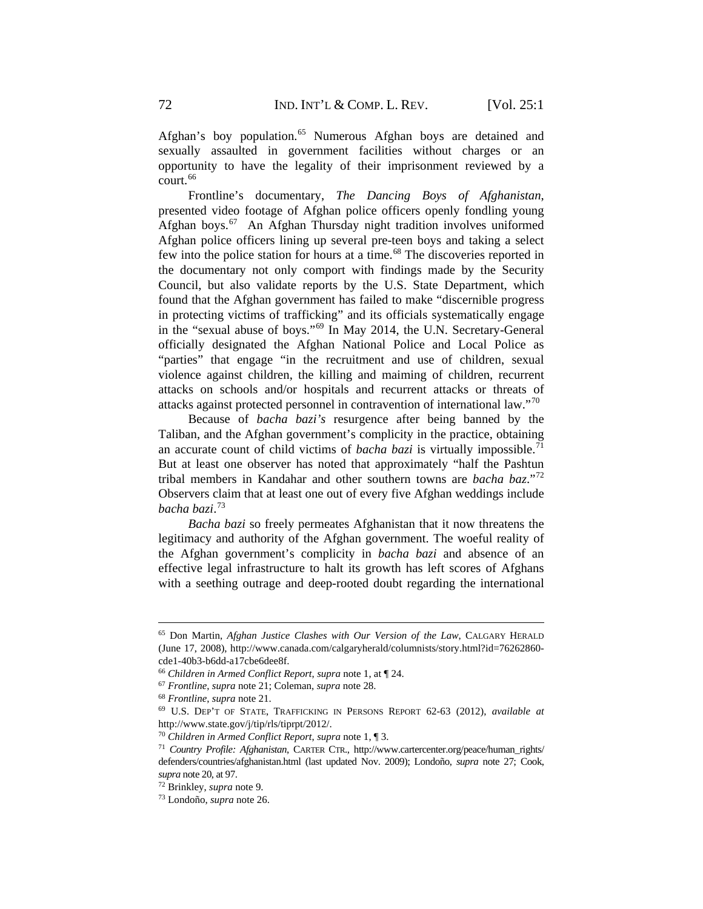Afghan's boy population.<sup>[65](#page-9-0)</sup> Numerous Afghan boys are detained and sexually assaulted in government facilities without charges or an opportunity to have the legality of their imprisonment reviewed by a court.<sup>66</sup>

Frontline's documentary, *The Dancing Boys of Afghanistan*, presented video footage of Afghan police officers openly fondling young Afghan boys.<sup>67</sup> An Afghan Thursday night tradition involves uniformed Afghan police officers lining up several pre-teen boys and taking a select few into the police station for hours at a time.<sup>[68](#page-9-3)</sup> The discoveries reported in the documentary not only comport with findings made by the Security Council, but also validate reports by the U.S. State Department, which found that the Afghan government has failed to make "discernible progress in protecting victims of trafficking" and its officials systematically engage in the "sexual abuse of boys."[69](#page-9-4) In May 2014, the U.N. Secretary-General officially designated the Afghan National Police and Local Police as "parties" that engage "in the recruitment and use of children, sexual violence against children, the killing and maiming of children, recurrent attacks on schools and/or hospitals and recurrent attacks or threats of attacks against protected personnel in contravention of international law."[70](#page-9-5)

Because of *bacha bazi's* resurgence after being banned by the Taliban, and the Afghan government's complicity in the practice, obtaining an accurate count of child victims of *bacha bazi* is virtually impossible.<sup>[71](#page-9-6)</sup> But at least one observer has noted that approximately "half the Pashtun tribal members in Kandahar and other southern towns are *bacha baz*."[72](#page-9-7) Observers claim that at least one out of every five Afghan weddings include *bacha bazi*. [73](#page-9-8)

*Bacha bazi* so freely permeates Afghanistan that it now threatens the legitimacy and authority of the Afghan government. The woeful reality of the Afghan government's complicity in *bacha bazi* and absence of an effective legal infrastructure to halt its growth has left scores of Afghans with a seething outrage and deep-rooted doubt regarding the international

<span id="page-9-0"></span><sup>65</sup> Don Martin, *Afghan Justice Clashes with Our Version of the Law*, CALGARY HERALD (June 17, 2008), http://www.canada.com/calgaryherald/columnists/story.html?id=76262860 cde1-40b3-b6dd-a17cbe6dee8f.

<span id="page-9-1"></span><sup>66</sup> *Children in Armed Conflict Report*, *supra* note 1, at ¶ 24.

<span id="page-9-2"></span><sup>67</sup> *Frontline*, *supra* note 21; Coleman, *supra* note 28.

<span id="page-9-3"></span><sup>68</sup> *Frontline*, *supra* note 21.

<span id="page-9-4"></span><sup>69</sup> U.S. DEP'T OF STATE, TRAFFICKING IN PERSONS REPORT 62-63 (2012), *available at* http://www.state.gov/j/tip/rls/tiprpt/2012/.

<span id="page-9-5"></span><sup>70</sup> *Children in Armed Conflict Report*, *supra* note 1, ¶ 3.

<span id="page-9-6"></span><sup>71</sup> *Country Profile: Afghanistan*, CARTER CTR., http://www.cartercenter.org/peace/human\_rights/ defenders/countries/afghanistan.html (last updated Nov. 2009); Londoño, *supra* note 27; Cook, *supra* note 20, at 97.

<span id="page-9-7"></span><sup>72</sup> Brinkley, *supra* note 9.

<span id="page-9-8"></span><sup>73</sup> Londoño, *supra* note 26.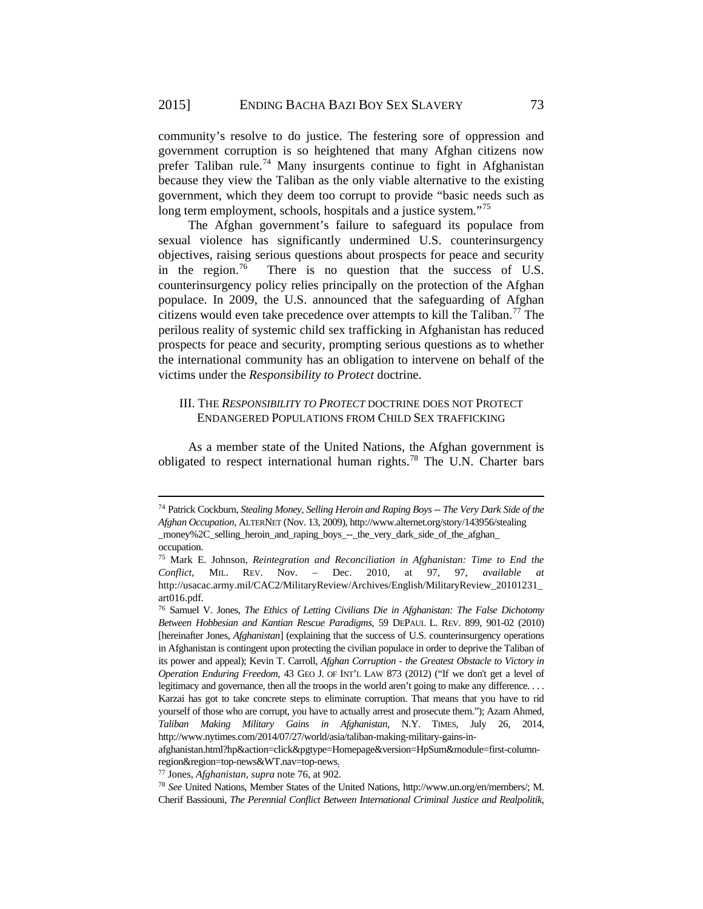community's resolve to do justice. The festering sore of oppression and government corruption is so heightened that many Afghan citizens now prefer Taliban rule.<sup>[74](#page-10-0)</sup> Many insurgents continue to fight in Afghanistan because they view the Taliban as the only viable alternative to the existing government, which they deem too corrupt to provide "basic needs such as long term employment, schools, hospitals and a justice system."<sup>[75](#page-10-1)</sup>

The Afghan government's failure to safeguard its populace from sexual violence has significantly undermined U.S. counterinsurgency objectives, raising serious questions about prospects for peace and security in the region.<sup>76</sup> There is no question that the success of U.S. counterinsurgency policy relies principally on the protection of the Afghan populace. In 2009, the U.S. announced that the safeguarding of Afghan citizens would even take precedence over attempts to kill the Taliban.<sup>[77](#page-10-3)</sup> The perilous reality of systemic child sex trafficking in Afghanistan has reduced prospects for peace and security, prompting serious questions as to whether the international community has an obligation to intervene on behalf of the victims under the *Responsibility to Protect* doctrine.

## III. THE *RESPONSIBILITY TO PROTECT* DOCTRINE DOES NOT PROTECT ENDANGERED POPULATIONS FROM CHILD SEX TRAFFICKING

As a member state of the United Nations, the Afghan government is obligated to respect international human rights.[78](#page-10-4) The U.N. Charter bars

<span id="page-10-0"></span><sup>74</sup> Patrick Cockburn, *Stealing Money, Selling Heroin and Raping Boys -- The Very Dark Side of the Afghan Occupation*, ALTERNET (Nov. 13, 2009), http://www.alternet.org/story/143956/stealing \_money%2C\_selling\_heroin\_and\_raping\_boys\_--\_the\_very\_dark\_side\_of\_the\_afghan\_ occupation.

<span id="page-10-1"></span><sup>75</sup> Mark E. Johnson, *Reintegration and Reconciliation in Afghanistan: Time to End the Conflict*, MIL. REV. Nov. – Dec. 2010, at 97, 97, *available at* http://usacac.army.mil/CAC2/MilitaryReview/Archives/English/MilitaryReview\_20101231\_ art016.pdf.

<span id="page-10-2"></span><sup>76</sup> Samuel V. Jones, *The Ethics of Letting Civilians Die in Afghanistan: The False Dichotomy Between Hobbesian and Kantian Rescue Paradigms*, 59 DEPAUL L. REV. 899, 901-02 (2010) [hereinafter Jones, *Afghanistan*] (explaining that the success of U.S. counterinsurgency operations in Afghanistan is contingent upon protecting the civilian populace in order to deprive the Taliban of its power and appeal); Kevin T. Carroll, *Afghan Corruption - the Greatest Obstacle to Victory in Operation Enduring Freedom*, 43 GEO J. OF INT'L LAW 873 (2012) ("If we don't get a level of legitimacy and governance, then all the troops in the world aren't going to make any difference. . . . Karzai has got to take concrete steps to eliminate corruption. That means that you have to rid yourself of those who are corrupt, you have to actually arrest and prosecute them."); Azam Ahmed, *Taliban Making Military Gains in Afghanistan*, N.Y. TIMES, July 26, 2014, http://www.nytimes.com/2014/07/27/world/asia/taliban-making-military-gains-in-

afghanistan.html?hp&action=click&pgtype=Homepage&version=HpSum&module=first-columnregion&region=top-news&WT.nav=top-news.

<span id="page-10-3"></span><sup>77</sup> Jones, *Afghanistan*, *supra* note 76, at 902.

<span id="page-10-4"></span><sup>78</sup> *See* United Nations, Member States of the United Nations, http://www.un.org/en/members/; M. Cherif Bassiouni, *The Perennial Conflict Between International Criminal Justice and Realpolitik*,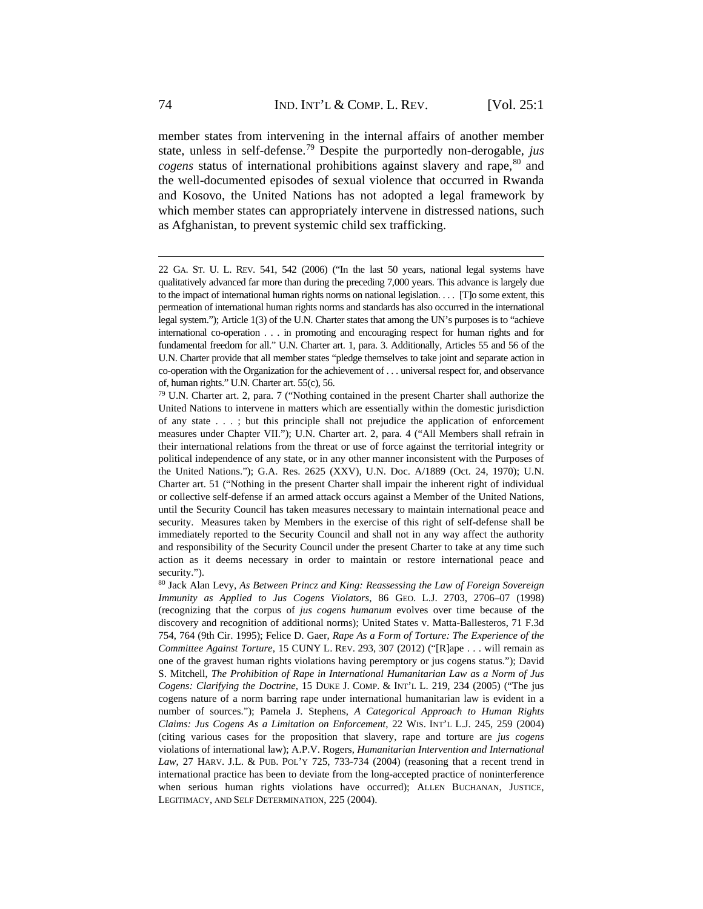member states from intervening in the internal affairs of another member state, unless in self-defense.[79](#page-11-0) Despite the purportedly non-derogable, *jus cogens* status of international prohibitions against slavery and rape,<sup>[80](#page-11-1)</sup> and the well-documented episodes of sexual violence that occurred in Rwanda and Kosovo, the United Nations has not adopted a legal framework by which member states can appropriately intervene in distressed nations, such as Afghanistan, to prevent systemic child sex trafficking.

<sup>22</sup> GA. ST. U. L. REV. 541, 542 (2006) ("In the last 50 years, national legal systems have qualitatively advanced far more than during the preceding 7,000 years. This advance is largely due to the impact of international human rights norms on national legislation. . . . [T]o some extent, this permeation of international human rights norms and standards has also occurred in the international legal system."); Article 1(3) of the U.N. Charter states that among the UN's purposes is to "achieve international co-operation . . . in promoting and encouraging respect for human rights and for fundamental freedom for all." U.N. Charter art. 1, para. 3. Additionally, Articles 55 and 56 of the U.N. Charter provide that all member states "pledge themselves to take joint and separate action in co-operation with the Organization for the achievement of . . . universal respect for, and observance of, human rights." U.N. Charter art. 55(c), 56.

<span id="page-11-0"></span><sup>79</sup> U.N. Charter art. 2, para. 7 ("Nothing contained in the present Charter shall authorize the United Nations to intervene in matters which are essentially within the domestic jurisdiction of any state . . . ; but this principle shall not prejudice the application of enforcement measures under Chapter VII."); U.N. Charter art. 2, para. 4 ("All Members shall refrain in their international relations from the threat or use of force against the territorial integrity or political independence of any state, or in any other manner inconsistent with the Purposes of the United Nations."); G.A. Res. 2625 (XXV), U.N. Doc. A/1889 (Oct. 24, 1970); U.N. Charter art. 51 ("Nothing in the present Charter shall impair the inherent right of individual or collective self-defense if an armed attack occurs against a Member of the United Nations, until the Security Council has taken measures necessary to maintain international peace and security. Measures taken by Members in the exercise of this right of self-defense shall be immediately reported to the Security Council and shall not in any way affect the authority and responsibility of the Security Council under the present Charter to take at any time such action as it deems necessary in order to maintain or restore international peace and security.").

<span id="page-11-1"></span><sup>80</sup> Jack Alan Levy, *As Between Princz and King: Reassessing the Law of Foreign Sovereign Immunity as Applied to Jus Cogens Violators*, 86 GEO. L.J. 2703, 2706–07 (1998) (recognizing that the corpus of *jus cogens humanum* evolves over time because of the discovery and recognition of additional norms); United States v. Matta-Ballesteros, 71 F.3d 754, 764 (9th Cir. 1995); Felice D. Gaer, *Rape As a Form of Torture: The Experience of the Committee Against Torture*, 15 CUNY L. REV. 293, 307 (2012) ("[R]ape . . . will remain as one of the gravest human rights violations having peremptory or jus cogens status."); David S. Mitchell, *The Prohibition of Rape in International Humanitarian Law as a Norm of Jus Cogens: Clarifying the Doctrine*, 15 DUKE J. COMP. & INT'L L. 219, 234 (2005) ("The jus cogens nature of a norm barring rape under international humanitarian law is evident in a number of sources."); Pamela J. Stephens, *A Categorical Approach to Human Rights Claims: Jus Cogens As a Limitation on Enforcement*, 22 WIS. INT'L L.J. 245, 259 (2004) (citing various cases for the proposition that slavery, rape and torture are *jus cogens* violations of international law); A.P.V. Rogers, *Humanitarian Intervention and International Law*, 27 HARV. J.L. & PUB. POL'Y 725, 733-734 (2004) (reasoning that a recent trend in international practice has been to deviate from the long-accepted practice of noninterference when serious human rights violations have occurred); ALLEN BUCHANAN, JUSTICE, LEGITIMACY, AND SELF DETERMINATION, 225 (2004).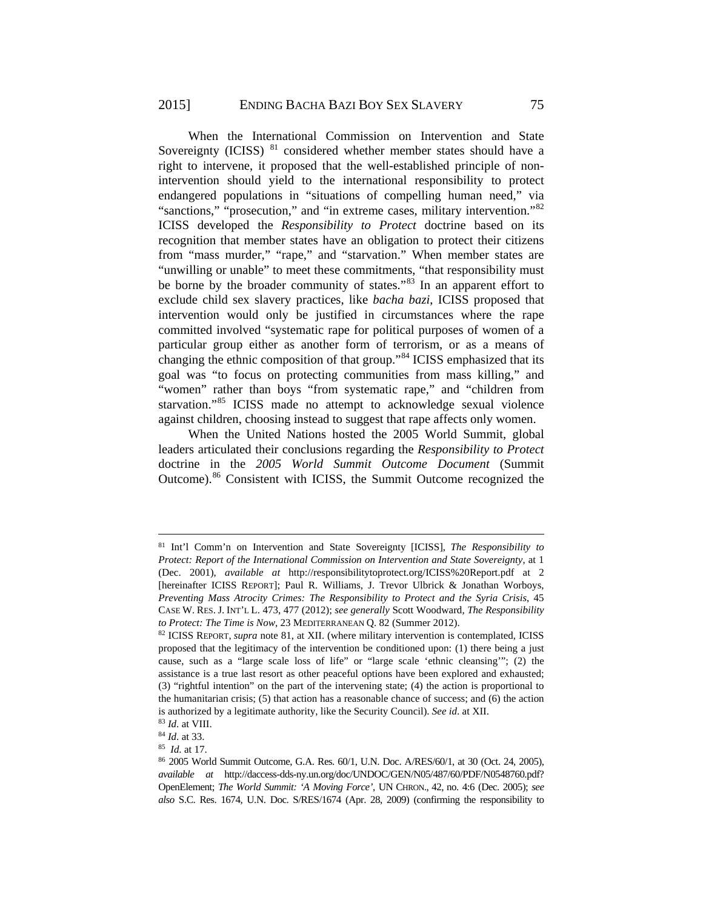When the International Commission on Intervention and State Sovereignty (ICISS)  $81$  considered whether member states should have a right to intervene, it proposed that the well-established principle of nonintervention should yield to the international responsibility to protect endangered populations in "situations of compelling human need," via "sanctions," "prosecution," and "in extreme cases, military intervention."<sup>[82](#page-12-1)</sup> ICISS developed the *Responsibility to Protect* doctrine based on its recognition that member states have an obligation to protect their citizens from "mass murder," "rape," and "starvation." When member states are "unwilling or unable" to meet these commitments, "that responsibility must be borne by the broader community of states."<sup>[83](#page-12-2)</sup> In an apparent effort to exclude child sex slavery practices, like *bacha bazi*, ICISS proposed that intervention would only be justified in circumstances where the rape committed involved "systematic rape for political purposes of women of a particular group either as another form of terrorism, or as a means of changing the ethnic composition of that group."[84](#page-12-3) ICISS emphasized that its goal was "to focus on protecting communities from mass killing," and "women" rather than boys "from systematic rape," and "children from starvation."[85](#page-12-4) ICISS made no attempt to acknowledge sexual violence against children, choosing instead to suggest that rape affects only women.

When the United Nations hosted the 2005 World Summit, global leaders articulated their conclusions regarding the *Responsibility to Protect*  doctrine in the *2005 World Summit Outcome Document* (Summit Outcome).[86](#page-12-5) Consistent with ICISS, the Summit Outcome recognized the

<span id="page-12-0"></span><sup>81</sup> Int'l Comm'n on Intervention and State Sovereignty [ICISS], *The Responsibility to Protect: Report of the International Commission on Intervention and State Sovereignty*, at 1 (Dec. 2001), *available at* http://responsibilitytoprotect.org/ICISS%20Report.pdf at 2 [hereinafter ICISS REPORT]; Paul R. Williams, J. Trevor Ulbrick & Jonathan Worboys, *Preventing Mass Atrocity Crimes: The Responsibility to Protect and the Syria Crisis*, 45 CASE W. RES. J. INT'L L. 473, 477 (2012); *see generally* Scott Woodward, *The Responsibility to Protect: The Time is Now*, 23 MEDITERRANEAN Q. 82 (Summer 2012).

<span id="page-12-1"></span><sup>82</sup> ICISS REPORT, *supra* note 81, at XII. (where military intervention is contemplated, ICISS proposed that the legitimacy of the intervention be conditioned upon: (1) there being a just cause, such as a "large scale loss of life" or "large scale 'ethnic cleansing'"; (2) the assistance is a true last resort as other peaceful options have been explored and exhausted; (3) "rightful intention" on the part of the intervening state; (4) the action is proportional to the humanitarian crisis; (5) that action has a reasonable chance of success; and (6) the action is authorized by a legitimate authority, like the Security Council). *See id*. at XII.

<span id="page-12-3"></span><span id="page-12-2"></span><sup>83</sup> *Id*. at VIII. 84 *Id*. at 33. 85 *Id*. at 17.

<span id="page-12-5"></span><span id="page-12-4"></span><sup>86</sup> 2005 World Summit Outcome, G.A. Res. 60/1, U.N. Doc. A/RES/60/1, at 30 (Oct. 24, 2005), *available at* http://daccess-dds-ny.un.org/doc/UNDOC/GEN/N05/487/60/PDF/N0548760.pdf? OpenElement; *The World Summit: 'A Moving Force'*, UN CHRON., 42, no. 4:6 (Dec. 2005); *see also* S.C. Res. 1674, U.N. Doc. S/RES/1674 (Apr. 28, 2009) (confirming the responsibility to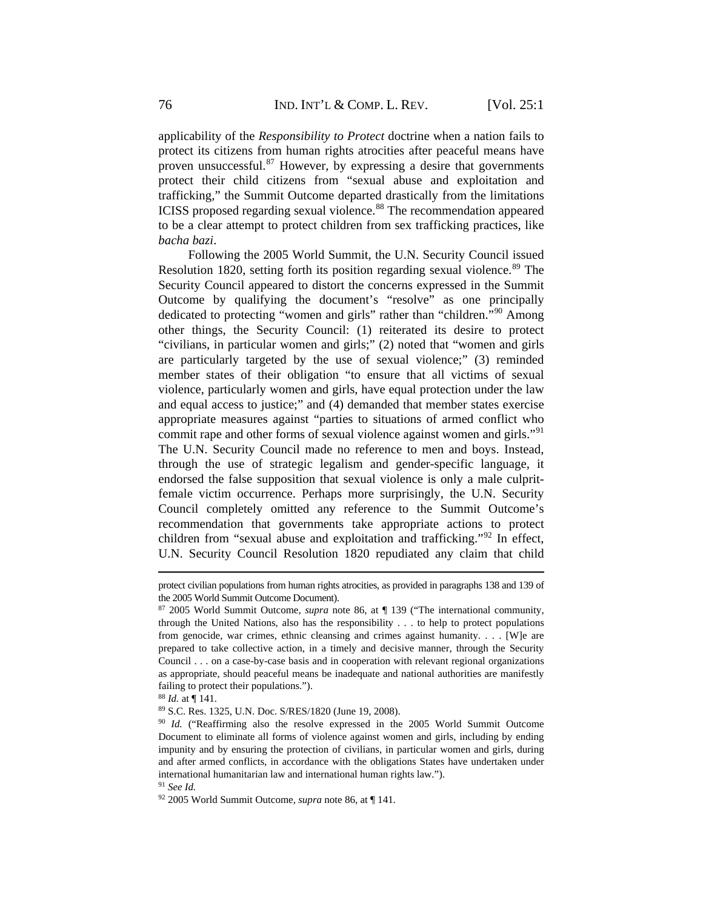applicability of the *Responsibility to Protect* doctrine when a nation fails to protect its citizens from human rights atrocities after peaceful means have proven unsuccessful. $87$  However, by expressing a desire that governments protect their child citizens from "sexual abuse and exploitation and trafficking," the Summit Outcome departed drastically from the limitations ICISS proposed regarding sexual violence.<sup>[88](#page-13-1)</sup> The recommendation appeared to be a clear attempt to protect children from sex trafficking practices, like *bacha bazi*.

Following the 2005 World Summit, the U.N. Security Council issued Resolution 1820, setting forth its position regarding sexual violence.<sup>[89](#page-13-2)</sup> The Security Council appeared to distort the concerns expressed in the Summit Outcome by qualifying the document's "resolve" as one principally dedicated to protecting "women and girls" rather than "children."[90](#page-13-3) Among other things, the Security Council: (1) reiterated its desire to protect "civilians, in particular women and girls;" (2) noted that "women and girls are particularly targeted by the use of sexual violence;" (3) reminded member states of their obligation "to ensure that all victims of sexual violence, particularly women and girls, have equal protection under the law and equal access to justice;" and (4) demanded that member states exercise appropriate measures against "parties to situations of armed conflict who commit rape and other forms of sexual violence against women and girls."<sup>[91](#page-13-4)</sup> The U.N. Security Council made no reference to men and boys. Instead, through the use of strategic legalism and gender-specific language, it endorsed the false supposition that sexual violence is only a male culpritfemale victim occurrence. Perhaps more surprisingly, the U.N. Security Council completely omitted any reference to the Summit Outcome's recommendation that governments take appropriate actions to protect children from "sexual abuse and exploitation and trafficking."[92](#page-13-5) In effect, U.N. Security Council Resolution 1820 repudiated any claim that child

protect civilian populations from human rights atrocities, as provided in paragraphs 138 and 139 of the 2005 World Summit Outcome Document).

<span id="page-13-0"></span><sup>87</sup> 2005 World Summit Outcome, *supra* note 86, at ¶ 139 ("The international community, through the United Nations, also has the responsibility . . . to help to protect populations from genocide, war crimes, ethnic cleansing and crimes against humanity. . . . [W]e are prepared to take collective action, in a timely and decisive manner, through the Security Council . . . on a case-by-case basis and in cooperation with relevant regional organizations as appropriate, should peaceful means be inadequate and national authorities are manifestly failing to protect their populations.").

<span id="page-13-1"></span><sup>88</sup> *Id.* at ¶ 141.

<sup>89</sup> S.C. Res. 1325, U.N. Doc. S/RES/1820 (June 19, 2008).

<span id="page-13-3"></span><span id="page-13-2"></span><sup>90</sup> *Id.* ("Reaffirming also the resolve expressed in the 2005 World Summit Outcome Document to eliminate all forms of violence against women and girls, including by ending impunity and by ensuring the protection of civilians, in particular women and girls, during and after armed conflicts, in accordance with the obligations States have undertaken under international humanitarian law and international human rights law.").

<span id="page-13-4"></span><sup>91</sup> *See Id.*

<span id="page-13-5"></span><sup>92</sup> 2005 World Summit Outcome, *supra* note 86, at ¶ 141.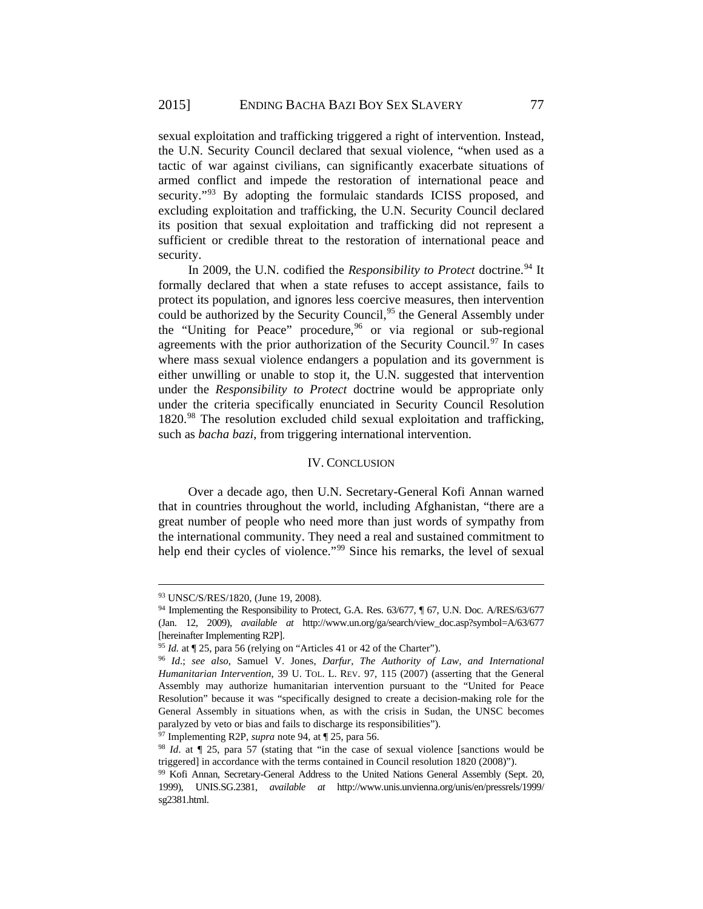sexual exploitation and trafficking triggered a right of intervention. Instead, the U.N. Security Council declared that sexual violence, "when used as a tactic of war against civilians, can significantly exacerbate situations of armed conflict and impede the restoration of international peace and security."<sup>[93](#page-14-0)</sup> By adopting the formulaic standards ICISS proposed, and excluding exploitation and trafficking, the U.N. Security Council declared its position that sexual exploitation and trafficking did not represent a sufficient or credible threat to the restoration of international peace and security.

In 2009, the U.N. codified the *Responsibility to Protect* doctrine.<sup>[94](#page-14-1)</sup> It formally declared that when a state refuses to accept assistance, fails to protect its population, and ignores less coercive measures, then intervention could be authorized by the Security Council,<sup>[95](#page-14-2)</sup> the General Assembly under the "Uniting for Peace" procedure,  $96$  or via regional or sub-regional agreements with the prior authorization of the Security Council.<sup>[97](#page-14-4)</sup> In cases where mass sexual violence endangers a population and its government is either unwilling or unable to stop it, the U.N. suggested that intervention under the *Responsibility to Protect* doctrine would be appropriate only under the criteria specifically enunciated in Security Council Resolution 1820.[98](#page-14-5) The resolution excluded child sexual exploitation and trafficking, such as *bacha bazi,* from triggering international intervention.

#### IV. CONCLUSION

Over a decade ago, then U.N. Secretary-General Kofi Annan warned that in countries throughout the world, including Afghanistan, "there are a great number of people who need more than just words of sympathy from the international community. They need a real and sustained commitment to help end their cycles of violence."<sup>[99](#page-14-6)</sup> Since his remarks, the level of sexual

 $\overline{a}$ 

<span id="page-14-4"></span><sup>97</sup> Implementing R2P, *supra* note 94, at ¶ 25, para 56.

<span id="page-14-0"></span><sup>93</sup> UNSC/S/RES/1820, (June 19, 2008).

<span id="page-14-1"></span><sup>&</sup>lt;sup>94</sup> Implementing the Responsibility to Protect, G.A. Res. 63/677, ¶ 67, U.N. Doc. A/RES/63/677 (Jan. 12, 2009), *available at* http://www.un.org/ga/search/view\_doc.asp?symbol=A/63/677 [hereinafter Implementing R2P].

<span id="page-14-2"></span><sup>95</sup> *Id.* at ¶ 25, para 56 (relying on "Articles 41 or 42 of the Charter").

<span id="page-14-3"></span><sup>96</sup> *Id*.; *see also*, Samuel V. Jones, *Darfur, The Authority of Law, and International Humanitarian Intervention*, 39 U. TOL. L. REV. 97, 115 (2007) (asserting that the General Assembly may authorize humanitarian intervention pursuant to the "United for Peace Resolution" because it was "specifically designed to create a decision-making role for the General Assembly in situations when, as with the crisis in Sudan, the UNSC becomes paralyzed by veto or bias and fails to discharge its responsibilities").

<span id="page-14-5"></span><sup>98</sup> *Id*. at ¶ 25, para 57 (stating that "in the case of sexual violence [sanctions would be triggered] in accordance with the terms contained in Council resolution 1820 (2008)").

<span id="page-14-6"></span><sup>99</sup> Kofi Annan, Secretary-General Address to the United Nations General Assembly (Sept. 20, 1999), UNIS.SG.2381, *available at* http://www.unis.unvienna.org/unis/en/pressrels/1999/ sg2381.html.